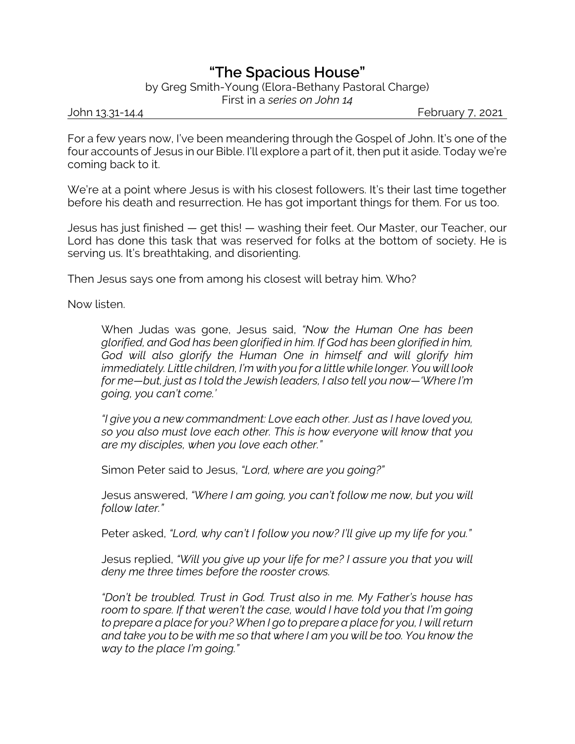## **"The Spacious House"**

by Greg Smith-Young (Elora-Bethany Pastoral Charge) First in a *series on John 14*

John 13.31-14.4 February 7, 2021

For a few years now, I've been meandering through the Gospel of John. It's one of the four accounts of Jesus in our Bible. I'll explore a part of it, then put it aside. Today we're coming back to it.

We're at a point where Jesus is with his closest followers. It's their last time together before his death and resurrection. He has got important things for them. For us too.

Jesus has just finished — get this! — washing their feet. Our Master, our Teacher, our Lord has done this task that was reserved for folks at the bottom of society. He is serving us. It's breathtaking, and disorienting.

Then Jesus says one from among his closest will betray him. Who?

Now listen.

When Judas was gone, Jesus said, *"Now the Human One has been glorified, and God has been glorified in him. If God has been glorified in him, God will also glorify the Human One in himself and will glorify him immediately. Little children, I'm with you for a little while longer. You will look for me—but, just as I told the Jewish leaders, I also tell you now—'Where I'm going, you can't come.'*

*"I give you a new commandment: Love each other. Just as I have loved you, so you also must love each other. This is how everyone will know that you are my disciples, when you love each other."*

Simon Peter said to Jesus, *"Lord, where are you going?"*

Jesus answered, *"Where I am going, you can't follow me now, but you will follow later."*

Peter asked, *"Lord, why can't I follow you now? I'll give up my life for you."*

Jesus replied, *"Will you give up your life for me? I assure you that you will deny me three times before the rooster crows.*

*"Don't be troubled. Trust in God. Trust also in me. My Father's house has room to spare. If that weren't the case, would I have told you that I'm going to prepare a place for you? When I go to prepare a place for you, I will return and take you to be with me so that where I am you will be too. You know the way to the place I'm going."*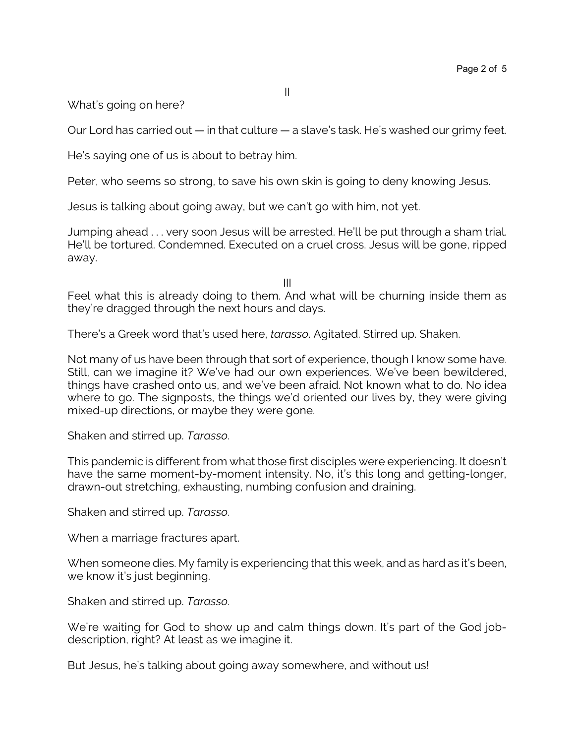What's going on here?

Our Lord has carried out — in that culture — a slave's task. He's washed our grimy feet.

He's saying one of us is about to betray him.

Peter, who seems so strong, to save his own skin is going to deny knowing Jesus.

Jesus is talking about going away, but we can't go with him, not yet.

Jumping ahead . . . very soon Jesus will be arrested. He'll be put through a sham trial. He'll be tortured. Condemned. Executed on a cruel cross. Jesus will be gone, ripped away.

III

Feel what this is already doing to them. And what will be churning inside them as they're dragged through the next hours and days.

There's a Greek word that's used here, *tarasso*. Agitated. Stirred up. Shaken.

Not many of us have been through that sort of experience, though I know some have. Still, can we imagine it? We've had our own experiences. We've been bewildered, things have crashed onto us, and we've been afraid. Not known what to do. No idea where to go. The signposts, the things we'd oriented our lives by, they were giving mixed-up directions, or maybe they were gone.

Shaken and stirred up. *Tarasso*.

This pandemic is different from what those first disciples were experiencing. It doesn't have the same moment-by-moment intensity. No, it's this long and getting-longer, drawn-out stretching, exhausting, numbing confusion and draining.

Shaken and stirred up. *Tarasso*.

When a marriage fractures apart.

When someone dies. My family is experiencing that this week, and as hard as it's been, we know it's just beginning.

Shaken and stirred up. *Tarasso*.

We're waiting for God to show up and calm things down. It's part of the God jobdescription, right? At least as we imagine it.

But Jesus, he's talking about going away somewhere, and without us!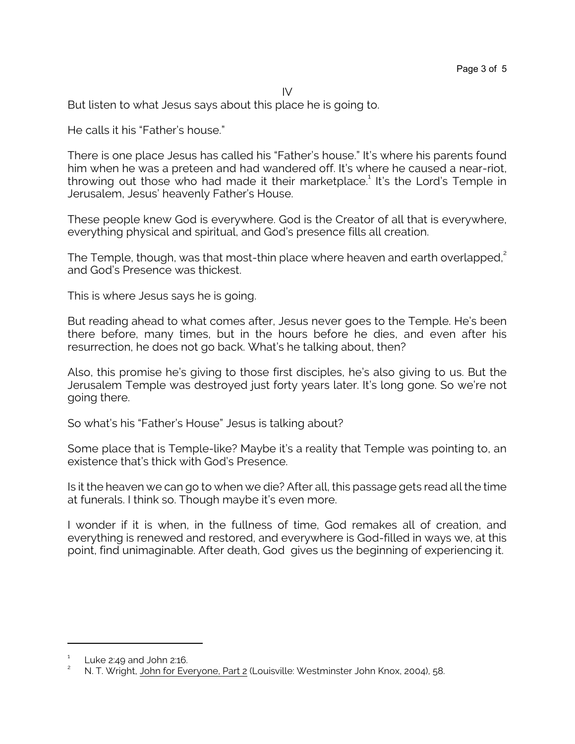IV

But listen to what Jesus says about this place he is going to.

He calls it his "Father's house."

There is one place Jesus has called his "Father's house." It's where his parents found him when he was a preteen and had wandered off. It's where he caused a near-riot, throwing out those who had made it their marketplace.<sup>1</sup> It's the Lord's Temple in Jerusalem, Jesus' heavenly Father's House.

These people knew God is everywhere. God is the Creator of all that is everywhere, everything physical and spiritual, and God's presence fills all creation.

The Temple, though, was that most-thin place where heaven and earth overlapped,<sup>2</sup> and God's Presence was thickest.

This is where Jesus says he is going.

But reading ahead to what comes after, Jesus never goes to the Temple. He's been there before, many times, but in the hours before he dies, and even after his resurrection, he does not go back. What's he talking about, then?

Also, this promise he's giving to those first disciples, he's also giving to us. But the Jerusalem Temple was destroyed just forty years later. It's long gone. So we're not going there.

So what's his "Father's House" Jesus is talking about?

Some place that is Temple-like? Maybe it's a reality that Temple was pointing to, an existence that's thick with God's Presence.

Is it the heaven we can go to when we die? After all, this passage gets read all the time at funerals. I think so. Though maybe it's even more.

I wonder if it is when, in the fullness of time, God remakes all of creation, and everything is renewed and restored, and everywhere is God-filled in ways we, at this point, find unimaginable. After death, God gives us the beginning of experiencing it.

<sup>1</sup> Luke 2:49 and John 2:16.

<sup>2</sup> N. T. Wright, John for Everyone, Part 2 (Louisville: Westminster John Knox, 2004), 58.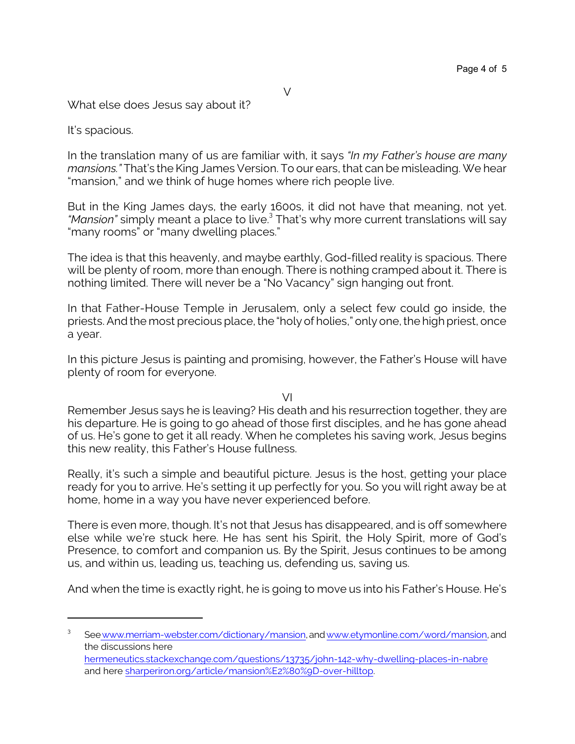What else does Jesus say about it?

It's spacious.

In the translation many of us are familiar with, it says *"In my Father's house are many mansions."* That's the King James Version. To our ears, that can be misleading. We hear "mansion," and we think of huge homes where rich people live.

But in the King James days, the early 1600s, it did not have that meaning, not yet. *"Mansion"* simply meant a place to live.<sup>3</sup> That's why more current translations will say "many rooms" or "many dwelling places."

The idea is that this heavenly, and maybe earthly, God-filled reality is spacious. There will be plenty of room, more than enough. There is nothing cramped about it. There is nothing limited. There will never be a "No Vacancy" sign hanging out front.

In that Father-House Temple in Jerusalem, only a select few could go inside, the priests. And the most precious place, the "holy of holies," only one, the high priest, once a year.

In this picture Jesus is painting and promising, however, the Father's House will have plenty of room for everyone.

VI

Remember Jesus says he is leaving? His death and his resurrection together, they are his departure. He is going to go ahead of those first disciples, and he has gone ahead of us. He's gone to get it all ready. When he completes his saving work, Jesus begins this new reality, this Father's House fullness.

Really, it's such a simple and beautiful picture. Jesus is the host, getting your place ready for you to arrive. He's setting it up perfectly for you. So you will right away be at home, home in a way you have never experienced before.

There is even more, though. It's not that Jesus has disappeared, and is off somewhere else while we're stuck here. He has sent his Spirit, the Holy Spirit, more of God's Presence, to comfort and companion us. By the Spirit, Jesus continues to be among us, and within us, leading us, teaching us, defending us, saving us.

And when the time is exactly right, he is going to move us into his Father's House. He's

<sup>3</sup> Se[ewww.merriam-webster.com/dictionary/mansion](https://www.merriam-webster.com/dictionary/mansion,), and [www.etymonline.com/word/mansion,](https://www.etymonline.com/word/mansion,) and the discussions here [hermeneutics.stackexchange.com/questions/13735/john-142-why-dwelling-places-in-nabre](https://hermeneutics.stackexchange.com/questions/13735/john-142-why-dwelling-places-in-nabre) and here [sharperiron.org/article/mansion%E2%80%9D-over-hilltop](https://sharperiron.org/article/mansion%E2%80%9D-over-hilltop).